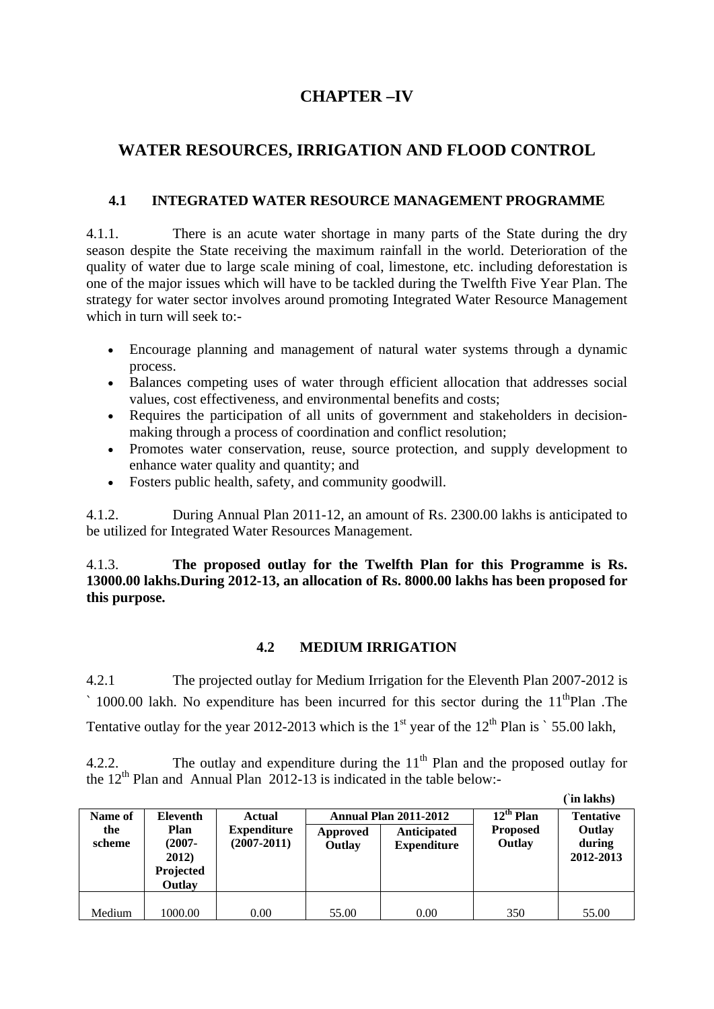## **CHAPTER –IV**

# **WATER RESOURCES, IRRIGATION AND FLOOD CONTROL**

### **4.1 INTEGRATED WATER RESOURCE MANAGEMENT PROGRAMME**

4.1.1. There is an acute water shortage in many parts of the State during the dry season despite the State receiving the maximum rainfall in the world. Deterioration of the quality of water due to large scale mining of coal, limestone, etc. including deforestation is one of the major issues which will have to be tackled during the Twelfth Five Year Plan. The strategy for water sector involves around promoting Integrated Water Resource Management which in turn will seek to:-

- Encourage planning and management of natural water systems through a dynamic process.
- Balances competing uses of water through efficient allocation that addresses social values, cost effectiveness, and environmental benefits and costs;
- Requires the participation of all units of government and stakeholders in decisionmaking through a process of coordination and conflict resolution;
- Promotes water conservation, reuse, source protection, and supply development to enhance water quality and quantity; and
- Fosters public health, safety, and community goodwill.

4.1.2. During Annual Plan 2011-12, an amount of Rs. 2300.00 lakhs is anticipated to be utilized for Integrated Water Resources Management.

4.1.3. **The proposed outlay for the Twelfth Plan for this Programme is Rs. 13000.00 lakhs.During 2012-13, an allocation of Rs. 8000.00 lakhs has been proposed for this purpose.** 

### **4.2 MEDIUM IRRIGATION**

4.2.1 The projected outlay for Medium Irrigation for the Eleventh Plan 2007-2012 is  $\degree$  1000.00 lakh. No expenditure has been incurred for this sector during the 11<sup>th</sup>Plan .The Tentative outlay for the year 2012-2013 which is the  $1<sup>st</sup>$  year of the  $12<sup>th</sup>$  Plan is ` 55.00 lakh,

4.2.2. The outlay and expenditure during the  $11<sup>th</sup>$  Plan and the proposed outlay for the  $12<sup>th</sup>$  Plan and Annual Plan 2012-13 is indicated in the table below:-

|                          |                                                                      |                                                 |                    |                                                                   |                                             | (`in lakhs)                                       |
|--------------------------|----------------------------------------------------------------------|-------------------------------------------------|--------------------|-------------------------------------------------------------------|---------------------------------------------|---------------------------------------------------|
| Name of<br>the<br>scheme | <b>Eleventh</b><br>Plan<br>$(2007 -$<br>2012)<br>Projected<br>Outlay | Actual<br><b>Expenditure</b><br>$(2007 - 2011)$ | Approved<br>Outlay | <b>Annual Plan 2011-2012</b><br>Anticipated<br><b>Expenditure</b> | $12^{th}$ Plan<br><b>Proposed</b><br>Outlay | <b>Tentative</b><br>Outlay<br>during<br>2012-2013 |
|                          |                                                                      |                                                 |                    |                                                                   |                                             |                                                   |
| Medium                   | 1000.00                                                              | 0.00                                            | 55.00              | 0.00                                                              | 350                                         | 55.00                                             |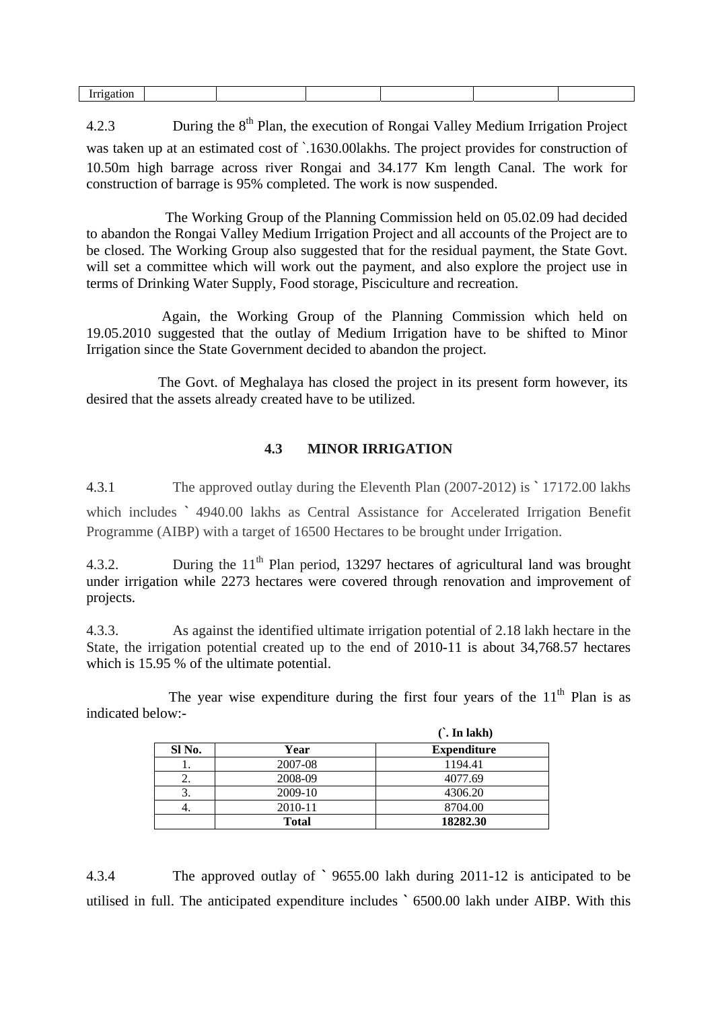|--|

4.2.3 During the 8<sup>th</sup> Plan, the execution of Rongai Valley Medium Irrigation Project was taken up at an estimated cost of  $\cdot$ 1630.00lakhs. The project provides for construction of 10.50m high barrage across river Rongai and 34.177 Km length Canal. The work for construction of barrage is 95% completed. The work is now suspended.

 The Working Group of the Planning Commission held on 05.02.09 had decided to abandon the Rongai Valley Medium Irrigation Project and all accounts of the Project are to be closed. The Working Group also suggested that for the residual payment, the State Govt. will set a committee which will work out the payment, and also explore the project use in terms of Drinking Water Supply, Food storage, Pisciculture and recreation.

 Again, the Working Group of the Planning Commission which held on 19.05.2010 suggested that the outlay of Medium Irrigation have to be shifted to Minor Irrigation since the State Government decided to abandon the project.

 The Govt. of Meghalaya has closed the project in its present form however, its desired that the assets already created have to be utilized.

#### **4.3 MINOR IRRIGATION**

4.3.1 The approved outlay during the Eleventh Plan (2007-2012) is **`** 17172.00 lakhs

which includes **`** 4940.00 lakhs as Central Assistance for Accelerated Irrigation Benefit Programme (AIBP) with a target of 16500 Hectares to be brought under Irrigation.

4.3.2. During the 11<sup>th</sup> Plan period, 13297 hectares of agricultural land was brought under irrigation while 2273 hectares were covered through renovation and improvement of projects.

4.3.3. As against the identified ultimate irrigation potential of 2.18 lakh hectare in the State, the irrigation potential created up to the end of 2010-11 is about 34,768.57 hectares which is 15.95 % of the ultimate potential.

The year wise expenditure during the first four years of the  $11<sup>th</sup>$  Plan is as indicated below:-

|        |              | $\hat{ }$ . In lakh) |  |  |  |
|--------|--------------|----------------------|--|--|--|
| SI No. | Year         | <b>Expenditure</b>   |  |  |  |
|        | 2007-08      | 1194.41              |  |  |  |
| 2.     | 2008-09      | 4077.69              |  |  |  |
| 3.     | 2009-10      | 4306.20              |  |  |  |
|        | 2010-11      | 8704.00              |  |  |  |
|        | <b>Total</b> | 18282.30             |  |  |  |

4.3.4 The approved outlay of **`** 9655.00 lakh during 2011-12 is anticipated to be utilised in full. The anticipated expenditure includes **`** 6500.00 lakh under AIBP. With this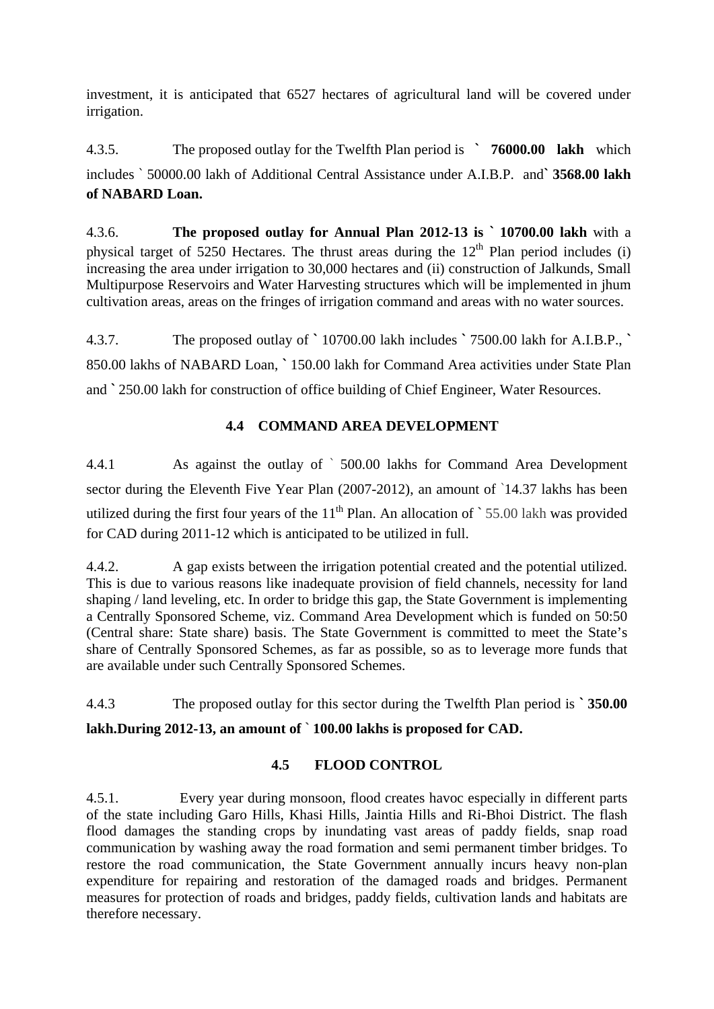investment, it is anticipated that 6527 hectares of agricultural land will be covered under irrigation.

4.3.5. The proposed outlay for the Twelfth Plan period is **` 76000.00 lakh** which includes ` 50000.00 lakh of Additional Central Assistance under A.I.B.P. and**` 3568.00 lakh of NABARD Loan.** 

4.3.6. **The proposed outlay for Annual Plan 2012-13 is ` 10700.00 lakh** with a physical target of 5250 Hectares. The thrust areas during the  $12<sup>th</sup>$  Plan period includes (i) increasing the area under irrigation to 30,000 hectares and (ii) construction of Jalkunds, Small Multipurpose Reservoirs and Water Harvesting structures which will be implemented in jhum cultivation areas, areas on the fringes of irrigation command and areas with no water sources.

4.3.7. The proposed outlay of **`** 10700.00 lakh includes **`** 7500.00 lakh for A.I.B.P., **`** 850.00 lakhs of NABARD Loan, **`** 150.00 lakh for Command Area activities under State Plan and **`** 250.00 lakh for construction of office building of Chief Engineer, Water Resources.

### **4.4 COMMAND AREA DEVELOPMENT**

4.4.1 As against the outlay of ` 500.00 lakhs for Command Area Development sector during the Eleventh Five Year Plan (2007-2012), an amount of `14.37 lakhs has been utilized during the first four years of the 11<sup>th</sup> Plan. An allocation of  $\degree$  55.00 lakh was provided for CAD during 2011-12 which is anticipated to be utilized in full.

4.4.2. A gap exists between the irrigation potential created and the potential utilized. This is due to various reasons like inadequate provision of field channels, necessity for land shaping / land leveling, etc. In order to bridge this gap, the State Government is implementing a Centrally Sponsored Scheme, viz. Command Area Development which is funded on 50:50 (Central share: State share) basis. The State Government is committed to meet the State's share of Centrally Sponsored Schemes, as far as possible, so as to leverage more funds that are available under such Centrally Sponsored Schemes.

4.4.3 The proposed outlay for this sector during the Twelfth Plan period is **` 350.00 lakh.During 2012-13, an amount of ` 100.00 lakhs is proposed for CAD.** 

### **4.5 FLOOD CONTROL**

4.5.1. Every year during monsoon, flood creates havoc especially in different parts of the state including Garo Hills, Khasi Hills, Jaintia Hills and Ri-Bhoi District. The flash flood damages the standing crops by inundating vast areas of paddy fields, snap road communication by washing away the road formation and semi permanent timber bridges. To restore the road communication, the State Government annually incurs heavy non-plan expenditure for repairing and restoration of the damaged roads and bridges. Permanent measures for protection of roads and bridges, paddy fields, cultivation lands and habitats are therefore necessary.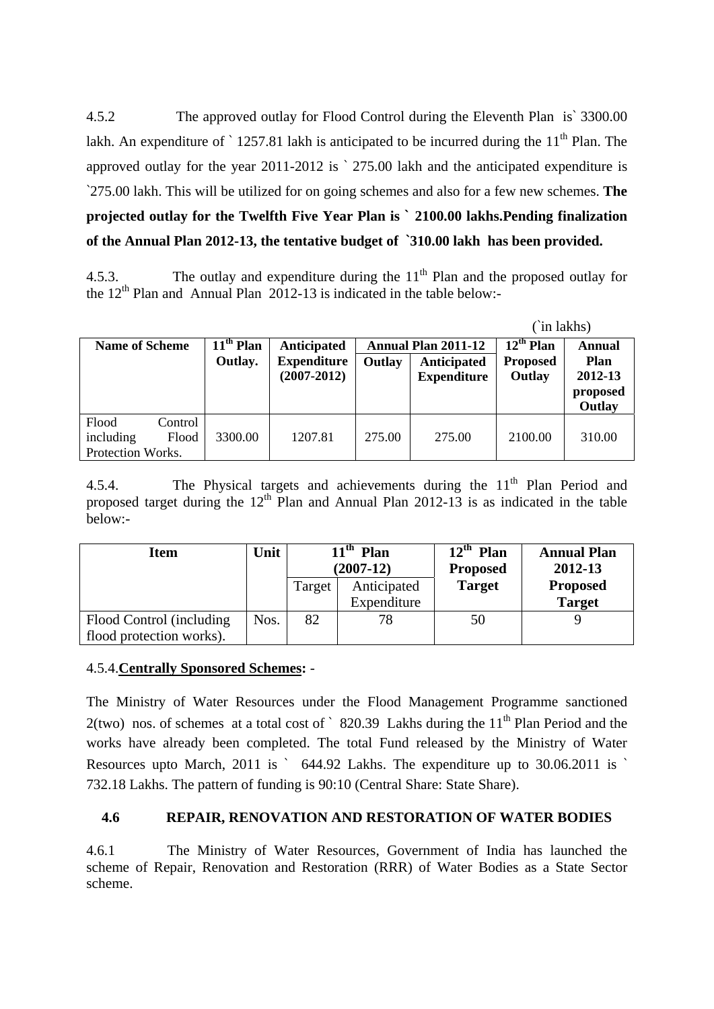4.5.2 The approved outlay for Flood Control during the Eleventh Plan is` 3300.00 lakh. An expenditure of  $\degree$  1257.81 lakh is anticipated to be incurred during the 11<sup>th</sup> Plan. The approved outlay for the year 2011-2012 is ` 275.00 lakh and the anticipated expenditure is `275.00 lakh. This will be utilized for on going schemes and also for a few new schemes. **The projected outlay for the Twelfth Five Year Plan is ` 2100.00 lakhs.Pending finalization of the Annual Plan 2012-13, the tentative budget of `310.00 lakh has been provided.** 

4.5.3. The outlay and expenditure during the  $11<sup>th</sup>$  Plan and the proposed outlay for the  $12<sup>th</sup>$  Plan and Annual Plan 2012-13 is indicated in the table below:-

| (`in lakhs)                                                 |                        |                                   |                                                            |                    |                                   |                               |
|-------------------------------------------------------------|------------------------|-----------------------------------|------------------------------------------------------------|--------------------|-----------------------------------|-------------------------------|
| <b>Name of Scheme</b>                                       | $11th$ Plan<br>Outlay. | Anticipated<br><b>Expenditure</b> | <b>Annual Plan 2011-12</b><br><b>Anticipated</b><br>Outlay |                    | $12^{th}$ Plan<br><b>Proposed</b> | <b>Annual</b><br><b>Plan</b>  |
|                                                             |                        | $(2007 - 2012)$                   |                                                            | <b>Expenditure</b> | Outlay                            | 2012-13<br>proposed<br>Outlay |
| Flood<br>Control<br>including<br>Flood<br>Protection Works. | 3300.00                | 1207.81                           | 275.00                                                     | 275.00             | 2100.00                           | 310.00                        |

4.5.4. The Physical targets and achievements during the  $11<sup>th</sup>$  Plan Period and proposed target during the  $12<sup>th</sup>$  Plan and Annual Plan 2012-13 is as indicated in the table below:-

| <b>Item</b>                                           | Unit | l <sup>th</sup> Plan<br>$(2007-12)$ |                            | $12^{\text{th}}$<br>Plan<br><b>Proposed</b> | <b>Annual Plan</b><br>2012-13    |  |
|-------------------------------------------------------|------|-------------------------------------|----------------------------|---------------------------------------------|----------------------------------|--|
|                                                       |      | Target                              | Anticipated<br>Expenditure | <b>Target</b>                               | <b>Proposed</b><br><b>Target</b> |  |
| Flood Control (including)<br>flood protection works). | Nos. | 82                                  | 78                         | 50                                          |                                  |  |

#### 4.5.4.**Centrally Sponsored Schemes:** -

The Ministry of Water Resources under the Flood Management Programme sanctioned 2(two) nos. of schemes at a total cost of  $\degree$  820.39 Lakhs during the 11<sup>th</sup> Plan Period and the works have already been completed. The total Fund released by the Ministry of Water Resources upto March, 2011 is ` 644.92 Lakhs. The expenditure up to 30.06.2011 is ` 732.18 Lakhs. The pattern of funding is 90:10 (Central Share: State Share).

## **4.6 REPAIR, RENOVATION AND RESTORATION OF WATER BODIES**

4.6.1 The Ministry of Water Resources, Government of India has launched the scheme of Repair, Renovation and Restoration (RRR) of Water Bodies as a State Sector scheme.